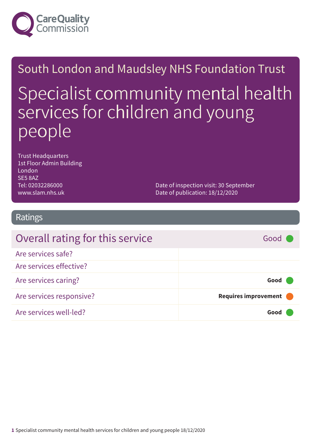

# South London and Maudsley NHS Foundation Trust Specialist community mental health services for children and young people

Trust Headquarters 1st Floor Admin Building London SE5 8AZ Tel: 02032286000 www.slam.nhs.uk

Date of inspection visit: 30 September Date of publication: 18/12/2020

### Ratings

| Overall rating for this service | Good \               |
|---------------------------------|----------------------|
| Are services safe?              |                      |
| Are services effective?         |                      |
| Are services caring?            | Good                 |
| Are services responsive?        | Requires improvement |
| Are services well-led?          | Good                 |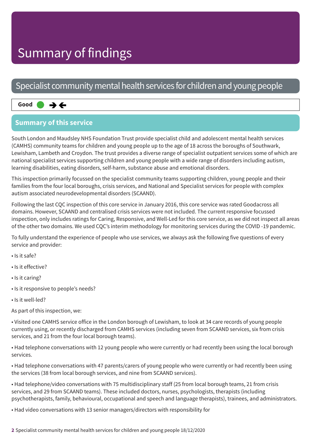### Specialist community mental health services for children and young people

#### Same–––rating **Good –––**  $\rightarrow$   $\leftarrow$

### **Summary of this service**

South London and Maudsley NHS Foundation Trust provide specialist child and adolescent mental health services (CAMHS) community teams for children and young people up to the age of 18 across the boroughs of Southwark, Lewisham, Lambeth and Croydon. The trust provides a diverse range of specialist outpatient services some of which are national specialist services supporting children and young people with a wide range of disorders including autism, learning disabilities, eating disorders, self-harm, substance abuse and emotional disorders.

This inspection primarily focussed on the specialist community teams supporting children, young people and their families from the four local boroughs, crisis services, and National and Specialist services for people with complex autism associated neurodevelopmental disorders (SCAAND).

Following the last CQC inspection of this core service in January 2016, this core service was rated Goodacross all domains. However, SCAAND and centralised crisis services were not included. The current responsive focussed inspection, only includes ratings for Caring, Responsive, and Well-Led for this core service, as we did not inspect all areas of the other two domains. We used CQC's interim methodology for monitoring services during the COVID -19 pandemic.

To fully understand the experience of people who use services, we always ask the following five questions of every service and provider:

- Is it safe?
- Is it effective?
- Is it caring?
- Is it responsive to people's needs?
- Is it well-led?

As part of this inspection, we:

• Visited one CAMHS service office in the London borough of Lewisham, to look at 34 care records of young people currently using, or recently discharged from CAMHS services (including seven from SCAAND services, six from crisis services, and 21 from the four local borough teams).

• Had telephone conversations with 12 young people who were currently or had recently been using the local borough services.

• Had telephone conversations with 47 parents/carers of young people who were currently or had recently been using the services (38 from local borough services, and nine from SCAAND services).

• Had telephone/video conversations with 75 multidisciplinary staff (25 from local borough teams, 21 from crisis services, and 29 from SCAAND teams). These included doctors, nurses, psychologists, therapists (including psychotherapists, family, behavioural, occupational and speech and language therapists), trainees, and administrators.

• Had video conversations with 13 senior managers/directors with responsibility for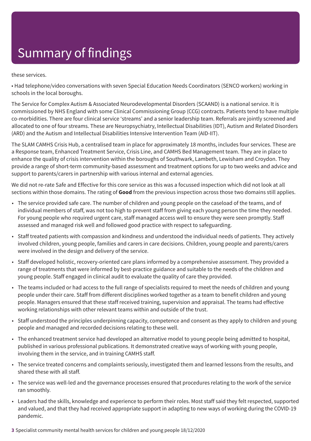these services.

• Had telephone/video conversations with seven Special Education Needs Coordinators (SENCO workers) working in schools in the local boroughs.

The Service for Complex Autism & Associated Neurodevelopmental Disorders (SCAAND) is a national service. It is commissioned by NHS England with some Clinical Commissioning Group (CCG) contracts. Patients tend to have multiple co-morbidities. There are four clinical service 'streams' and a senior leadership team. Referrals are jointly screened and allocated to one of four streams. These are Neuropsychiatry, Intellectual Disabilities (IDT), Autism and Related Disorders (ARD) and the Autism and Intellectual Disabilities Intensive Intervention Team (AID-IIT).

The SLAM CAMHS Crisis Hub, a centralised team in place for approximately 18 months, includes four services. These are a Response team, Enhanced Treatment Service, Crisis Line, and CAMHS Bed Management team. They are in place to enhance the quality of crisis intervention within the boroughs of Southwark, Lambeth, Lewisham and Croydon. They provide a range of short-term community-based assessment and treatment options for up to two weeks and advice and support to parents/carers in partnership with various internal and external agencies.

We did not re-rate Safe and Effective for this core service as this was a focussed inspection which did not look at all sections within those domains. The rating of **Good** from the previous inspection across those two domains still applies.

- The service provided safe care. The number of children and young people on the caseload of the teams, and of individual members of staff, was not too high to prevent staff from giving each young person the time they needed. For young people who required urgent care, staff managed access well to ensure they were seen promptly. Staff assessed and managed risk well and followed good practice with respect to safeguarding.
- Staff treated patients with compassion and kindness and understood the individual needs of patients. They actively involved children, young people, families and carers in care decisions. Children, young people and parents/carers were involved in the design and delivery of the service.
- Staff developed holistic, recovery-oriented care plans informed by a comprehensive assessment. They provided a range of treatments that were informed by best-practice guidance and suitable to the needs of the children and young people. Staff engaged in clinical audit to evaluate the quality of care they provided.
- The teams included or had access to the full range of specialists required to meet the needs of children and young people under their care. Staff from different disciplines worked together as a team to benefit children and young people. Managers ensured that these staff received training, supervision and appraisal. The teams had effective working relationships with other relevant teams within and outside of the trust.
- Staff understood the principles underpinning capacity, competence and consent as they apply to children and young people and managed and recorded decisions relating to these well.
- The enhanced treatment service had developed an alternative model to young people being admitted to hospital, published in various professional publications. It demonstrated creative ways of working with young people, involving them in the service, and in training CAMHS staff.
- The service treated concerns and complaints seriously, investigated them and learned lessons from the results, and shared these with all staff.
- The service was well-led and the governance processes ensured that procedures relating to the work of the service ran smoothly.
- Leaders had the skills, knowledge and experience to perform their roles. Most staff said they felt respected, supported and valued, and that they had received appropriate support in adapting to new ways of working during the COVID-19 pandemic.
- **3** Specialist community mental health services for children and young people 18/12/2020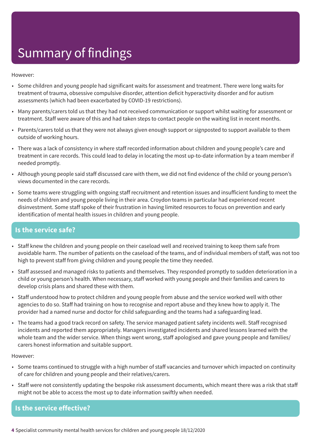However:

- Some children and young people had significant waits for assessment and treatment. There were long waits for treatment of trauma, obsessive compulsive disorder, attention deficit hyperactivity disorder and for autism assessments (which had been exacerbated by COVID-19 restrictions).
- Many parents/carers told us that they had not received communication or support whilst waiting for assessment or treatment. Staff were aware of this and had taken steps to contact people on the waiting list in recent months.
- Parents/carers told us that they were not always given enough support or signposted to support available to them outside of working hours.
- There was a lack of consistency in where staff recorded information about children and young people's care and treatment in care records. This could lead to delay in locating the most up-to-date information by a team member if needed promptly.
- Although young people said staff discussed care with them, we did not find evidence of the child or young person's views documented in the care records.
- Some teams were struggling with ongoing staff recruitment and retention issues and insufficient funding to meet the needs of children and young people living in their area. Croydon teams in particular had experienced recent disinvestment. Some staff spoke of their frustration in having limited resources to focus on prevention and early identification of mental health issues in children and young people.

### **Is the service safe?**

- Staff knew the children and young people on their caseload well and received training to keep them safe from avoidable harm. The number of patients on the caseload of the teams, and of individual members of staff, was not too high to prevent staff from giving children and young people the time they needed.
- Staff assessed and managed risks to patients and themselves. They responded promptly to sudden deterioration in a child or young person's health. When necessary, staff worked with young people and their families and carers to develop crisis plans and shared these with them.
- Staff understood how to protect children and young people from abuse and the service worked well with other agencies to do so. Staff had training on how to recognise and report abuse and they knew how to apply it. The provider had a named nurse and doctor for child safeguarding and the teams had a safeguarding lead.
- The teams had a good track record on safety. The service managed patient safety incidents well. Staff recognised incidents and reported them appropriately. Managers investigated incidents and shared lessons learned with the whole team and the wider service. When things went wrong, staff apologised and gave young people and families/ carers honest information and suitable support.

However:

- Some teams continued to struggle with a high number of staff vacancies and turnover which impacted on continuity of care for children and young people and their relatives/carers.
- Staff were not consistently updating the bespoke risk assessment documents, which meant there was a risk that staff might not be able to access the most up to date information swiftly when needed.

**Is the service effective?**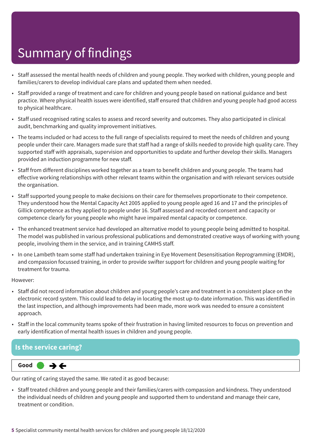- Staff assessed the mental health needs of children and young people. They worked with children, young people and families/carers to develop individual care plans and updated them when needed.
- Staff provided a range of treatment and care for children and young people based on national guidance and best practice. Where physical health issues were identified, staff ensured that children and young people had good access to physical healthcare.
- Staff used recognised rating scales to assess and record severity and outcomes. They also participated in clinical audit, benchmarking and quality improvement initiatives.
- The teams included or had access to the full range of specialists required to meet the needs of children and young people under their care. Managers made sure that staff had a range of skills needed to provide high quality care. They supported staff with appraisals, supervision and opportunities to update and further develop their skills. Managers provided an induction programme for new staff.
- Staff from different disciplines worked together as a team to benefit children and young people. The teams had effective working relationships with other relevant teams within the organisation and with relevant services outside the organisation.
- Staff supported young people to make decisions on their care for themselves proportionate to their competence. They understood how the Mental Capacity Act 2005 applied to young people aged 16 and 17 and the principles of Gillick competence as they applied to people under 16. Staff assessed and recorded consent and capacity or competence clearly for young people who might have impaired mental capacity or competence.
- The enhanced treatment service had developed an alternative model to young people being admitted to hospital. The model was published in various professional publications and demonstrated creative ways of working with young people, involving them in the service, and in training CAMHS staff.
- In one Lambeth team some staff had undertaken training in Eye Movement Desensitisation Reprogramming (EMDR), and compassion focussed training, in order to provide swifter support for children and young people waiting for treatment for trauma.

#### However:

- Staff did not record information about children and young people's care and treatment in a consistent place on the electronic record system. This could lead to delay in locating the most up-to-date information. This was identified in the last inspection, and although improvements had been made, more work was needed to ensure a consistent approach.
- Staff in the local community teams spoke of their frustration in having limited resources to focus on prevention and early identification of mental health issues in children and young people.

#### **Is the service caring?**



Our rating of caring stayed the same. We rated it as good because:

• Staff treated children and young people and their families/carers with compassion and kindness. They understood the individual needs of children and young people and supported them to understand and manage their care, treatment or condition.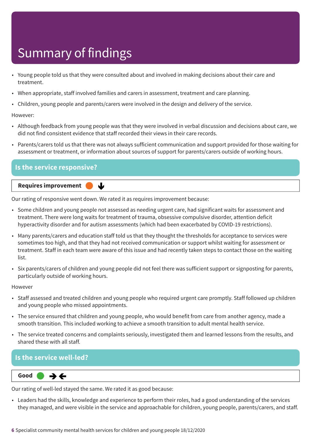- Young people told us that they were consulted about and involved in making decisions about their care and treatment.
- When appropriate, staff involved families and carers in assessment, treatment and care planning.
- Children, young people and parents/carers were involved in the design and delivery of the service.

However:

- Although feedback from young people was that they were involved in verbal discussion and decisions about care, we did not find consistent evidence that staff recorded their views in their care records.
- Parents/carers told us that there was not always sufficient communication and support provided for those waiting for assessment or treatment, or information about sources of support for parents/carers outside of working hours.

| <b>Is the service responsive?</b> |  |
|-----------------------------------|--|
| Requires improvement<br>N.        |  |

Our rating of responsive went down. We rated it as requires improvement because:

- Some children and young people not assessed as needing urgent care, had significant waits for assessment and treatment. There were long waits for treatment of trauma, obsessive compulsive disorder, attention deficit hyperactivity disorder and for autism assessments (which had been exacerbated by COVID-19 restrictions).
- Many parents/carers and education staff told us that they thought the thresholds for acceptance to services were sometimes too high, and that they had not received communication or support whilst waiting for assessment or treatment. Staff in each team were aware of this issue and had recently taken steps to contact those on the waiting list.
- Six parents/carers of children and young people did not feel there was sufficient support or signposting for parents, particularly outside of working hours.

However

- Staff assessed and treated children and young people who required urgent care promptly. Staff followed up children and young people who missed appointments.
- The service ensured that children and young people, who would benefit from care from another agency, made a smooth transition. This included working to achieve a smooth transition to adult mental health service.
- The service treated concerns and complaints seriously, investigated them and learned lessons from the results, and shared these with all staff.

### **Is the service well-led?**

Same–––rating **Good –––**  $\rightarrow$   $\leftarrow$ 

Our rating of well-led stayed the same. We rated it as good because:

• Leaders had the skills, knowledge and experience to perform their roles, had a good understanding of the services they managed, and were visible in the service and approachable for children, young people, parents/carers, and staff.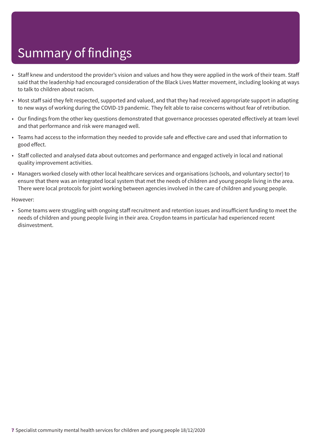- Staff knew and understood the provider's vision and values and how they were applied in the work of their team. Staff said that the leadership had encouraged consideration of the Black Lives Matter movement, including looking at ways to talk to children about racism.
- Most staff said they felt respected, supported and valued, and that they had received appropriate support in adapting to new ways of working during the COVID-19 pandemic. They felt able to raise concerns without fear of retribution.
- Our findings from the other key questions demonstrated that governance processes operated effectively at team level and that performance and risk were managed well.
- Teams had access to the information they needed to provide safe and effective care and used that information to good effect.
- Staff collected and analysed data about outcomes and performance and engaged actively in local and national quality improvement activities.
- Managers worked closely with other local healthcare services and organisations (schools, and voluntary sector) to ensure that there was an integrated local system that met the needs of children and young people living in the area. There were local protocols for joint working between agencies involved in the care of children and young people.

#### However:

• Some teams were struggling with ongoing staff recruitment and retention issues and insufficient funding to meet the needs of children and young people living in their area. Croydon teams in particular had experienced recent disinvestment.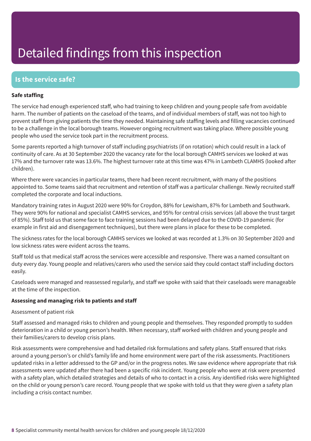### **Is the service safe?**

#### **Safe staffing**

The service had enough experienced staff, who had training to keep children and young people safe from avoidable harm. The number of patients on the caseload of the teams, and of individual members of staff, was not too high to prevent staff from giving patients the time they needed. Maintaining safe staffing levels and filling vacancies continued to be a challenge in the local borough teams. However ongoing recruitment was taking place. Where possible young people who used the service took part in the recruitment process.

Some parents reported a high turnover of staff including psychiatrists (if on rotation) which could result in a lack of continuity of care. As at 30 September 2020 the vacancy rate for the local borough CAMHS services we looked at was 17% and the turnover rate was 13.6%. The highest turnover rate at this time was 47% in Lambeth CLAMHS (looked after children).

Where there were vacancies in particular teams, there had been recent recruitment, with many of the positions appointed to. Some teams said that recruitment and retention of staff was a particular challenge. Newly recruited staff completed the corporate and local inductions.

Mandatory training rates in August 2020 were 90% for Croydon, 88% for Lewisham, 87% for Lambeth and Southwark. They were 90% for national and specialist CAMHS services, and 95% for central crisis services (all above the trust target of 85%). Staff told us that some face to face training sessions had been delayed due to the COVID-19 pandemic (for example in first aid and disengagement techniques), but there were plans in place for these to be completed.

The sickness rates for the local borough CAMHS services we looked at was recorded at 1.3% on 30 September 2020 and low sickness rates were evident across the teams.

Staff told us that medical staff across the services were accessible and responsive. There was a named consultant on duty every day. Young people and relatives/carers who used the service said they could contact staff including doctors easily.

Caseloads were managed and reassessed regularly, and staff we spoke with said that their caseloads were manageable at the time of the inspection.

#### **Assessing and managing risk to patients and staff**

#### Assessment of patient risk

Staff assessed and managed risks to children and young people and themselves. They responded promptly to sudden deterioration in a child or young person's health. When necessary, staff worked with children and young people and their families/carers to develop crisis plans.

Risk assessments were comprehensive and had detailed risk formulations and safety plans. Staff ensured that risks around a young person's or child's family life and home environment were part of the risk assessments. Practitioners updated risks in a letter addressed to the GP and/or in the progress notes. We saw evidence where appropriate that risk assessments were updated after there had been a specific risk incident. Young people who were at risk were presented with a safety plan, which detailed strategies and details of who to contact in a crisis. Any identified risks were highlighted on the child or young person's care record. Young people that we spoke with told us that they were given a safety plan including a crisis contact number.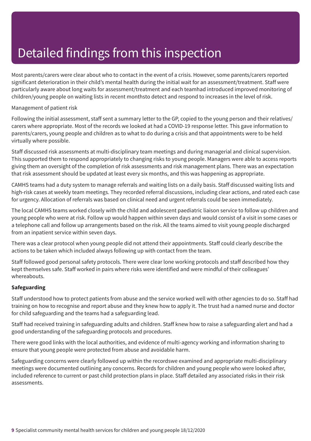Most parents/carers were clear about who to contact in the event of a crisis. However, some parents/carers reported significant deterioration in their child's mental health during the initial wait for an assessment/treatment. Staff were particularly aware about long waits for assessment/treatment and each teamhad introduced improved monitoring of children/young people on waiting lists in recent monthsto detect and respond to increases in the level of risk.

#### Management of patient risk

Following the initial assessment, staff sent a summary letter to the GP, copied to the young person and their relatives/ carers where appropriate. Most of the records we looked at had a COVID-19 response letter. This gave information to parents/carers, young people and children as to what to do during a crisis and that appointments were to be held virtually where possible.

Staff discussed risk assessments at multi-disciplinary team meetings and during managerial and clinical supervision. This supported them to respond appropriately to changing risks to young people. Managers were able to access reports giving them an oversight of the completion of risk assessments and risk management plans. There was an expectation that risk assessment should be updated at least every six months, and this was happening as appropriate.

CAMHS teams had a duty system to manage referrals and waiting lists on a daily basis. Staff discussed waiting lists and high-risk cases at weekly team meetings. They recorded referral discussions, including clear actions, and rated each case for urgency. Allocation of referrals was based on clinical need and urgent referrals could be seen immediately.

The local CAMHS teams worked closely with the child and adolescent paediatric liaison service to follow up children and young people who were at risk. Follow up would happen within seven days and would consist of a visit in some cases or a telephone call and follow up arrangements based on the risk. All the teams aimed to visit young people discharged from an inpatient service within seven days.

There was a clear protocol when young people did not attend their appointments. Staff could clearly describe the actions to be taken which included always following up with contact from the team.

Staff followed good personal safety protocols. There were clear lone working protocols and staff described how they kept themselves safe. Staff worked in pairs where risks were identified and were mindful of their colleagues' whereabouts.

#### **Safeguarding**

Staff understood how to protect patients from abuse and the service worked well with other agencies to do so. Staff had training on how to recognise and report abuse and they knew how to apply it. The trust had a named nurse and doctor for child safeguarding and the teams had a safeguarding lead.

Staff had received training in safeguarding adults and children. Staff knew how to raise a safeguarding alert and had a good understanding of the safeguarding protocols and procedures.

There were good links with the local authorities, and evidence of multi-agency working and information sharing to ensure that young people were protected from abuse and avoidable harm.

Safeguarding concerns were clearly followed up within the recordswe examined and appropriate multi-disciplinary meetings were documented outlining any concerns. Records for children and young people who were looked after, included reference to current or past child protection plans in place. Staff detailed any associated risks in their risk assessments.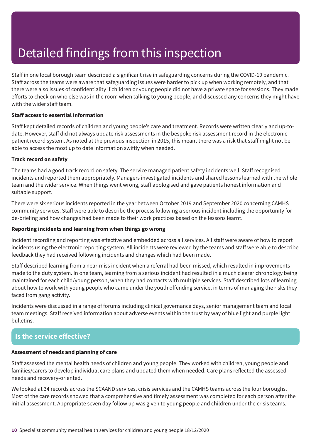Staff in one local borough team described a significant rise in safeguarding concerns during the COVID-19 pandemic. Staff across the teams were aware that safeguarding issues were harder to pick up when working remotely, and that there were also issues of confidentiality if children or young people did not have a private space for sessions. They made efforts to check on who else was in the room when talking to young people, and discussed any concerns they might have with the wider staff team.

#### **Staff access to essential information**

Staff kept detailed records of children and young people's care and treatment. Records were written clearly and up-todate. However, staff did not always update risk assessments in the bespoke risk assessment record in the electronic patient record system. As noted at the previous inspection in 2015, this meant there was a risk that staff might not be able to access the most up to date information swiftly when needed.

#### **Track record on safety**

The teams had a good track record on safety. The service managed patient safety incidents well. Staff recognised incidents and reported them appropriately. Managers investigated incidents and shared lessons learned with the whole team and the wider service. When things went wrong, staff apologised and gave patients honest information and suitable support.

There were six serious incidents reported in the year between October 2019 and September 2020 concerning CAMHS community services. Staff were able to describe the process following a serious incident including the opportunity for de-briefing and how changes had been made to their work practices based on the lessons learnt.

#### **Reporting incidents and learning from when things go wrong**

Incident recording and reporting was effective and embedded across all services. All staff were aware of how to report incidents using the electronic reporting system. All incidents were reviewed by the teams and staff were able to describe feedback they had received following incidents and changes which had been made.

Staff described learning from a near-miss incident when a referral had been missed, which resulted in improvements made to the duty system. In one team, learning from a serious incident had resulted in a much clearer chronology being maintained for each child/young person, when they had contacts with multiple services. Staff described lots of learning about how to work with young people who came under the youth offending service, in terms of managing the risks they faced from gang activity.

Incidents were discussed in a range of forums including clinical governance days, senior management team and local team meetings. Staff received information about adverse events within the trust by way of blue light and purple light bulletins.

### **Is the service effective?**

#### **Assessment of needs and planning of care**

Staff assessed the mental health needs of children and young people. They worked with children, young people and families/carers to develop individual care plans and updated them when needed. Care plans reflected the assessed needs and recovery-oriented.

We looked at 34 records across the SCAAND services, crisis services and the CAMHS teams across the four boroughs. Most of the care records showed that a comprehensive and timely assessment was completed for each person after the initial assessment. Appropriate seven day follow up was given to young people and children under the crisis teams.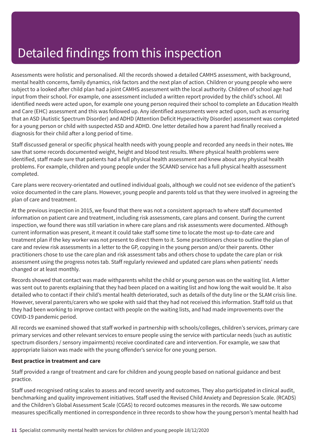Assessments were holistic and personalised. All the records showed a detailed CAMHS assessment, with background, mental health concerns, family dynamics, risk factors and the next plan of action. Children or young people who were subject to a looked after child plan had a joint CAMHS assessment with the local authority. Children of school age had input from their school. For example, one assessment included a written report provided by the child's school. All identified needs were acted upon, for example one young person required their school to complete an Education Health and Care (EHC) assessment and this was followed up. Any identified assessments were acted upon, such as ensuring that an ASD (Autistic Spectrum Disorder) and ADHD (Attention Deficit Hyperactivity Disorder) assessment was completed for a young person or child with suspected ASD and ADHD. One letter detailed how a parent had finally received a diagnosis for their child after a long period of time.

Staff discussed general or specific physical health needs with young people and recorded any needs in their notes**.** We saw that some records documented weight, height and blood test results. Where physical health problems were identified, staff made sure that patients had a full physical health assessment and knew about any physical health problems. For example, children and young people under the SCAAND service has a full physical health assessment completed.

Care plans were recovery-orientated and outlined individual goals, although we could not see evidence of the patient's voice documented in the care plans. However, young people and parents told us that they were involved in agreeing the plan of care and treatment.

At the previous inspection in 2015, we found that there was not a consistent approach to where staff documented information on patient care and treatment, including risk assessments, care plans and consent. During the current inspection, we found there was still variation in where care plans and risk assessments were documented. Although current information was present, it meant it could take staff some time to locate the most up-to-date care and treatment plan if the key worker was not present to direct them to it. Some practitioners chose to outline the plan of care and review risk assessments in a letter to the GP, copying in the young person and/or their parents. Other practitioners chose to use the care plan and risk assessment tabs and others chose to update the care plan or risk assessment using the progress notes tab. Staff regularly reviewed and updated care plans when patients' needs changed or at least monthly.

Records showed that contact was made withparents whilst the child or young person was on the waiting list. A letter was sent out to parents explaining that they had been placed on a waiting list and how long the wait would be. It also detailed who to contact if their child's mental health deteriorated, such as details of the duty line or the SLAM crisis line. However, several parents/carers who we spoke with said that they had not received this information. Staff told us that they had been working to improve contact with people on the waiting lists, and had made improvements over the COVID-19 pandemic period.

All records we examined showed that staff worked in partnership with schools/colleges, children's services, primary care primary services and other relevant services to ensure people using the service with particular needs (such as autistic spectrum disorders / sensory impairments) receive coordinated care and intervention. For example, we saw that appropriate liaison was made with the young offender's service for one young person.

#### **Best practice in treatment and care**

Staff provided a range of treatment and care for children and young people based on national guidance and best practice.

Staff used recognised rating scales to assess and record severity and outcomes. They also participated in clinical audit, benchmarking and quality improvement initiatives. Staff used the Revised Child Anxiety and Depression Scale. (RCADS) and the Children's Global Assessment Scale (CGAS) to record outcomes measures in the records. We saw outcome measures specifically mentioned in correspondence in three records to show how the young person's mental health had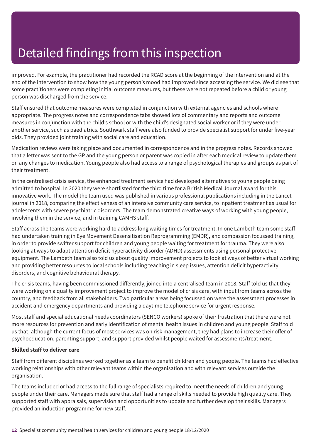improved. For example, the practitioner had recorded the RCAD score at the beginning of the intervention and at the end of the intervention to show how the young person's mood had improved since accessing the service. We did see that some practitioners were completing initial outcome measures, but these were not repeated before a child or young person was discharged from the service.

Staff ensured that outcome measures were completed in conjunction with external agencies and schools where appropriate. The progress notes and correspondence tabs showed lots of commentary and reports and outcome measures in conjunction with the child's school or with the child's designated social worker or if they were under another service, such as paediatrics. Southwark staff were also funded to provide specialist support for under five-year olds. They provided joint training with social care and education.

Medication reviews were taking place and documented in correspondence and in the progress notes. Records showed that a letter was sent to the GP and the young person or parent was copied in after each medical review to update them on any changes to medication. Young people also had access to a range of psychological therapies and groups as part of their treatment.

In the centralised crisis service, the enhanced treatment service had developed alternatives to young people being admitted to hospital. In 2020 they were shortlisted for the third time for a British Medical Journal award for this innovative work. The model the team used was published in various professional publications including in the Lancet journal in 2018, comparing the effectiveness of an intensive community care service, to inpatient treatment as usual for adolescents with severe psychiatric disorders. The team demonstrated creative ways of working with young people, involving them in the service, and in training CAMHS staff.

Staff across the teams were working hard to address long waiting times for treatment. In one Lambeth team some staff had undertaken training in Eye Movement Desensitisation Reprogramming (EMDR), and compassion focussed training, in order to provide swifter support for children and young people waiting for treatment for trauma. They were also looking at ways to adapt attention deficit hyperactivity disorder (ADHD) assessments using personal protective equipment. The Lambeth team also told us about quality improvement projects to look at ways of better virtual working and providing better resources to local schools including teaching in sleep issues, attention deficit hyperactivity disorders, and cognitive behavioural therapy.

The crisis teams, having been commissioned differently, joined into a centralised team in 2018. Staff told us that they were working on a quality improvement project to improve the model of crisis care, with input from teams across the country, and feedback from all stakeholders. Two particular areas being focussed on were the assessment processes in accident and emergency departments and providing a daytime telephone service for urgent response.

Most staff and special educational needs coordinators (SENCO workers) spoke of their frustration that there were not more resources for prevention and early identification of mental health issues in children and young people. Staff told us that, although the current focus of most services was on risk management, they had plans to increase their offer of psychoeducation, parenting support, and support provided whilst people waited for assessments/treatment.

#### **Skilled staff to deliver care**

Staff from different disciplines worked together as a team to benefit children and young people. The teams had effective working relationships with other relevant teams within the organisation and with relevant services outside the organisation.

The teams included or had access to the full range of specialists required to meet the needs of children and young people under their care. Managers made sure that staff had a range of skills needed to provide high quality care. They supported staff with appraisals, supervision and opportunities to update and further develop their skills. Managers provided an induction programme for new staff.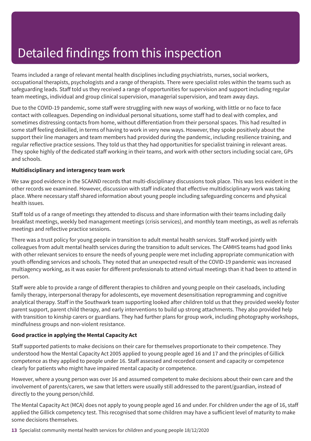Teams included a range of relevant mental health disciplines including psychiatrists, nurses, social workers, occupational therapists, psychologists and a range of therapists. There were specialist roles within the teams such as safeguarding leads. Staff told us they received a range of opportunities for supervision and support including regular team meetings, individual and group clinical supervision, managerial supervision, and team away days.

Due to the COVID-19 pandemic, some staff were struggling with new ways of working, with little or no face to face contact with colleagues. Depending on individual personal situations, some staff had to deal with complex, and sometimes distressing contacts from home, without differentiation from their personal spaces. This had resulted in some staff feeling deskilled, in terms of having to work in very new ways. However, they spoke positively about the support their line managers and team members had provided during the pandemic, including resilience training, and regular reflective practice sessions. They told us that they had opportunities for specialist training in relevant areas. They spoke highly of the dedicated staff working in their teams, and work with other sectors including social care, GPs and schools.

#### **Multidisciplinary and interagency team work**

We saw good evidence in the SCAAND records that multi-disciplinary discussions took place. This was less evident in the other records we examined. However, discussion with staff indicated that effective multidisciplinary work was taking place. Where necessary staff shared information about young people including safeguarding concerns and physical health issues.

Staff told us of a range of meetings they attended to discuss and share information with their teams including daily breakfast meetings, weekly bed management meetings (crisis services), and monthly team meetings, as well as referrals meetings and reflective practice sessions.

There was a trust policy for young people in transition to adult mental health services. Staff worked jointly with colleagues from adult mental health services during the transition to adult services. The CAMHS teams had good links with other relevant services to ensure the needs of young people were met including appropriate communication with youth offending services and schools. They noted that an unexpected result of the COVID-19 pandemic was increased multiagency working, as it was easier for different professionals to attend virtual meetings than it had been to attend in person.

Staff were able to provide a range of different therapies to children and young people on their caseloads, including family therapy, interpersonal therapy for adolescents, eye movement desensitisation reprogramming and cognitive analytical therapy. Staff in the Southwark team supporting looked after children told us that they provided weekly foster parent support, parent child therapy, and early interventions to build up strong attachments. They also provided help with transition to kinship carers or guardians. They had further plans for group work, including photography workshops, mindfulness groups and non-violent resistance.

#### **Good practice in applying the Mental Capacity Act**

Staff supported patients to make decisions on their care for themselves proportionate to their competence. They understood how the Mental Capacity Act 2005 applied to young people aged 16 and 17 and the principles of Gillick competence as they applied to people under 16. Staff assessed and recorded consent and capacity or competence clearly for patients who might have impaired mental capacity or competence.

However, where a young person was over 16 and assumed competent to make decisions about their own care and the involvement of parents/carers, we saw that letters were usually still addressed to the parent/guardian, instead of directly to the young person/child.

The Mental Capacity Act (MCA) does not apply to young people aged 16 and under. For children under the age of 16, staff applied the Gillick competency test. This recognised that some children may have a sufficient level of maturity to make some decisions themselves.

**13** Specialist community mental health services for children and young people 18/12/2020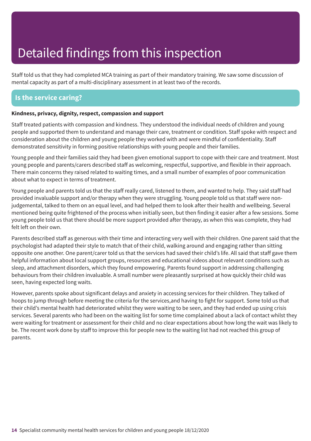Staff told us that they had completed MCA training as part of their mandatory training. We saw some discussion of mental capacity as part of a multi-disciplinary assessment in at least two of the records.

### **Is the service caring?**

#### **Kindness, privacy, dignity, respect, compassion and support**

Staff treated patients with compassion and kindness. They understood the individual needs of children and young people and supported them to understand and manage their care, treatment or condition. Staff spoke with respect and consideration about the children and young people they worked with and were mindful of confidentiality. Staff demonstrated sensitivity in forming positive relationships with young people and their families.

Young people and their families said they had been given emotional support to cope with their care and treatment. Most young people and parents/carers described staff as welcoming, respectful, supportive, and flexible in their approach. There main concerns they raised related to waiting times, and a small number of examples of poor communication about what to expect in terms of treatment.

Young people and parents told us that the staff really cared, listened to them, and wanted to help. They said staff had provided invaluable support and/or therapy when they were struggling. Young people told us that staff were nonjudgemental, talked to them on an equal level, and had helped them to look after their health and wellbeing. Several mentioned being quite frightened of the process when initially seen, but then finding it easier after a few sessions. Some young people told us that there should be more support provided after therapy, as when this was complete, they had felt left on their own.

Parents described staff as generous with their time and interacting very well with their children. One parent said that the psychologist had adapted their style to match that of their child, walking around and engaging rather than sitting opposite one another. One parent/carer told us that the services had saved their child's life. All said that staff gave them helpful information about local support groups, resources and educational videos about relevant conditions such as sleep, and attachment disorders, which they found empowering. Parents found support in addressing challenging behaviours from their children invaluable. A small number were pleasantly surprised at how quickly their child was seen, having expected long waits.

However, parents spoke about significant delays and anxiety in accessing services for their children. They talked of hoops to jump through before meeting the criteria for the services,and having to fight for support. Some told us that their child's mental health had deteriorated whilst they were waiting to be seen, and they had ended up using crisis services. Several parents who had been on the waiting list for some time complained about a lack of contact whilst they were waiting for treatment or assessment for their child and no clear expectations about how long the wait was likely to be. The recent work done by staff to improve this for people new to the waiting list had not reached this group of parents.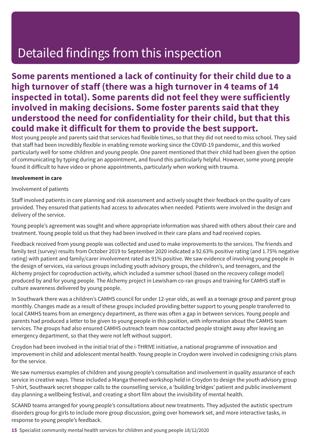### **Some parents mentioned a lack of continuity for their child due to a high turnover of staff (there was a high turnover in 4 teams of 14 inspected in total). Some parents did not feel they were sufficiently involved in making decisions. Some foster parents said that they understood the need for confidentiality for their child, but that this could make it difficult for them to provide the best support.**

Most young people and parents said that services had flexible times, so that they did not need to miss school. They said that staff had been incredibly flexible in enabling remote working since the COVID-19 pandemic, and this worked particularly well for some children and young people. One parent mentioned that their child had been given the option of communicating by typing during an appointment, and found this particularly helpful. However, some young people found it difficult to have video or phone appointments, particularly when working with trauma.

#### **Involvement in care**

#### Involvement of patients

Staff involved patients in care planning and risk assessment and actively sought their feedback on the quality of care provided. They ensured that patients had access to advocates when needed. Patients were involved in the design and delivery of the service.

Young people's agreement was sought and where appropriate information was shared with others about their care and treatment. Young people told us that they had been involved in their care plans and had received copies.

Feedback received from young people was collected and used to make improvements to the services. The friends and family test (survey) results from October 2019 to September 2020 indicated a 92.63% positive rating (and 1.75% negative rating) with patient and family/carer involvement rated as 91% positive. We saw evidence of involving young people in the design of services, via various groups including youth advisory groups, the children's, and teenagers, and the Alchemy project for coproduction activity, which included a summer school (based on the recovery college model) produced by and for young people. The Alchemy project in Lewisham co-ran groups and training for CAMHS staff in culture awareness delivered by young people.

In Southwark there was a children's CAMHS council for under 12-year olds, as well as a teenage group and parent group monthly. Changes made as a result of these groups included providing better support to young people transferred to local CAMHS teams from an emergency department, as there was often a gap in between services. Young people and parents had produced a letter to be given to young people in this position, with information about the CAMHS team services. The groups had also ensured CAMHS outreach team now contacted people straight away after leaving an emergency department, so that they were not left without support.

Croydon had been involved in the initial trial of the i-THRIVE initiative, a national programme of innovation and improvement in child and adolescent mental health. Young people in Croydon were involved in codesigning crisis plans for the service.

We saw numerous examples of children and young people's consultation and involvement in quality assurance of each service in creative ways. These included a Manga themed workshop held in Croydon to design the youth advisory group T-shirt, Southwark secret shopper calls to the counselling service, a 'building bridges' patient and public involvement day planning a wellbeing festival, and creating a short film about the invisibility of mental health.

SCAAND teams arranged for young people's consultations about new treatments. They adjusted the autistic spectrum disorders group for girls to include more group discussion, going over homework set, and more interactive tasks, in response to young people's feedback.

**15** Specialist community mental health services for children and young people 18/12/2020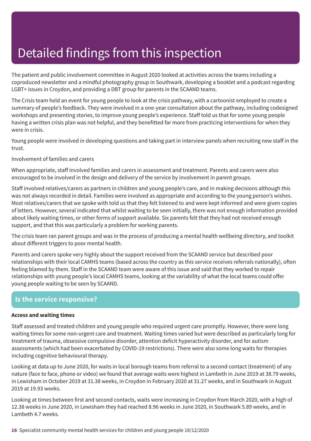The patient and public involvement committee in August 2020 looked at activities across the teams including a coproduced newsletter and a mindful photography group in Southwark, developing a booklet and a podcast regarding LGBT+ issues in Croydon, and providing a DBT group for parents in the SCAAND teams.

The Crisis team held an event for young people to look at the crisis pathway, with a cartoonist employed to create a summary of people's feedback. They were involved in a one-year consultation about the pathway, including codesigned workshops and presenting stories, to improve young people's experience. Staff told us that for some young people having a written crisis plan was not helpful, and they benefitted far more from practicing interventions for when they were in crisis.

Young people were involved in developing questions and taking part in interview panels when recruiting new staff in the trust.

Involvement of families and carers

When appropriate, staff involved families and carers in assessment and treatment. Parents and carers were also encouraged to be involved in the design and delivery of the service by involvement in parent groups.

Staff involved relatives/carers as partners in children and young people's care, and in making decisions although this was not always recorded in detail. Families were involved as appropriate and according to the young person's wishes. Most relatives/carers that we spoke with told us that they felt listened to and were kept informed and were given copies of letters. However, several indicated that whilst waiting to be seen initially, there was not enough information provided about likely waiting times, or other forms of support available. Six parents felt that they had not received enough support, and that this was particularly a problem for working parents.

The crisis team ran parent groups and was in the process of producing a mental health wellbeing directory, and toolkit about different triggers to poor mental health.

Parents and carers spoke very highly about the support received from the SCAAND service but described poor relationships with their local CAMHS teams (based across the country as this service receives referrals nationally), often feeling blamed by them. Staff in the SCAAND team were aware of this issue and said that they worked to repair relationships with young people's local CAMHS teams, looking at the variability of what the local teams could offer young people waiting to be seen by SCAAND.

### **Is the service responsive?**

#### **Access and waiting times**

Staff assessed and treated children and young people who required urgent care promptly. However, there were long waiting times for some non-urgent care and treatment. Waiting times varied but were described as particularly long for treatment of trauma, obsessive compulsive disorder, attention deficit hyperactivity disorder, and for autism assessments (which had been exacerbated by COVID-19 restrictions). There were also some long waits for therapies including cognitive behavioural therapy.

Looking at data up to June 2020, for waits in local borough teams from referral to a second contact (treatment) of any nature (face to face, phone or video) we found that average waits were highest in Lambeth in June 2019 at 38.79 weeks, in Lewisham in October 2019 at 31.38 weeks, in Croydon in February 2020 at 31.27 weeks, and in Southwark in August 2019 at 19.93 weeks.

Looking at times between first and second contacts, waits were increasing in Croydon from March 2020, with a high of 12.38 weeks in June 2020, in Lewisham they had reached 8.96 weeks in June 2020, in Southwark 5.89 weeks, and in Lambeth 4.7 weeks.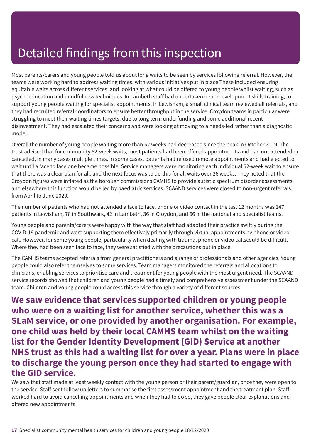Most parents/carers and young people told us about long waits to be seen by services following referral. However, the teams were working hard to address waiting times, with various initiatives put in place These included ensuring equitable waits across different services, and looking at what could be offered to young people whilst waiting, such as psychoeducation and mindfulness techniques. In Lambeth staff had undertaken neurodevelopment skills training, to support young people waiting for specialist appointments. In Lewisham, a small clinical team reviewed all referrals, and they had recruited referral coordinators to ensure better throughput in the service. Croydon teams in particular were struggling to meet their waiting times targets, due to long term underfunding and some additional recent disinvestment. They had escalated their concerns and were looking at moving to a needs-led rather than a diagnostic model.

Overall the number of young people waiting more than 52 weeks had decreased since the peak in October 2019. The trust advised that for community 52-week waits, most patients had been offered appointments and had not attended or cancelled, in many cases multiple times. In some cases, patients had refused remote appointments and had elected to wait until a face to face one became possible. Service managers were monitoring each individual 52-week wait to ensure that there was a clear plan for all, and the next focus was to do this for all waits over 26 weeks. They noted that the Croydon figures were inflated as the borough commissions CAMHS to provide autistic spectrum disorder assessments, and elsewhere this function would be led by paediatric services. SCAAND services were closed to non-urgent referrals, from April to June 2020.

The number of patients who had not attended a face to face, phone or video contact in the last 12 months was 147 patients in Lewisham, 78 in Southwark, 42 in Lambeth, 36 in Croydon, and 66 in the national and specialist teams.

Young people and parents/carers were happy with the way that staff had adapted their practice swiftly during the COVID-19 pandemic and were supporting them effectively primarily through virtual appointments by phone or video call. However, for some young people, particularly when dealing with trauma, phone or video callscould be difficult. Where they had been seen face to face, they were satisfied with the precautions put in place.

The CAMHS teams accepted referrals from general practitioners and a range of professionals and other agencies. Young people could also refer themselves to some services. Team managers monitored the referrals and allocations to clinicians, enabling services to prioritise care and treatment for young people with the most urgent need. The SCAAND service records showed that children and young people had a timely and comprehensive assessment under the SCAAND team. Children and young people could access this service through a variety of different sources.

**We saw evidence that services supported children or young people who were on a waiting list for another service, whether this was a SLaM service, or one provided by another organisation. For example, one child was held by their local CAMHS team whilst on the waiting list for the Gender Identity Development (GID) Service at another NHS trust as this had a waiting list for over a year. Plans were in place to discharge the young person once they had started to engage with the GID service.**

We saw that staff made at least weekly contact with the young person or their parent/guardian, once they were open to the service. Staff sent follow up letters to summarise the first assessment appointment and the treatment plan. Staff worked hard to avoid cancelling appointments and when they had to do so, they gave people clear explanations and offered new appointments.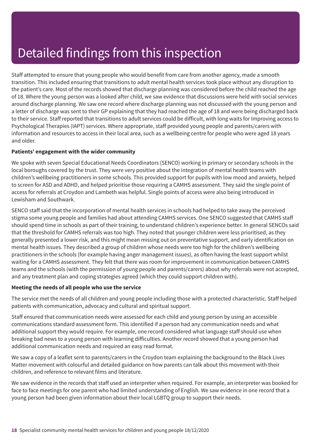Staff attempted to ensure that young people who would benefit from care from another agency, made a smooth transition. This included ensuring that transitions to adult mental health services took place without any disruption to the patient's care. Most of the records showed that discharge planning was considered before the child reached the age of 18. Where the young person was a looked after child, we saw evidence that discussions were held with social services around discharge planning. We saw one record where discharge planning was not discussed with the young person and a letter of discharge was sent to their GP explaining that they had reached the age of 18 and were being discharged back to their service. Staff reported that transitions to adult services could be difficult, with long waits for Improving access to Psychological Therapies (IAPT) services. Where appropriate, staff provided young people and parents/carers with information and resources to access in their local area, such as a wellbeing centre for people who were aged 18 years and older.

#### **Patients' engagement with the wider community**

We spoke with seven Special Educational Needs Coordinators (SENCO) working in primary or secondary schools in the local boroughs covered by the trust. They were very positive about the integration of mental health teams with children's wellbeing practitioners in some schools. This provided support for pupils with low mood and anxiety, helped to screen for ASD and ADHD, and helped prioritise those requiring a CAMHS assessment. They said the single point of access for referrals at Croydon and Lambeth was helpful. Single points of access were also being introduced in Lewisham and Southwark.

SENCO staff said that the incorporation of mental health services in schools had helped to take away the perceived stigma some young people and families had about attending CAMHS services. One SENCO suggested that CAMHS staff should spend time in schools as part of their training, to understand children's experience better. In general SENCOs said that the threshold for CAMHS referrals was too high. They noted that younger children were less prioritised, as they generally presented a lower risk, and this might mean missing out on preventative support, and early identification on mental health issues. They described a group of children whose needs were too high for the children's wellbeing practitioners in the schools (for example having anger management issues), as often having the least support whilst waiting for a CAMHS assessment. They felt that there was room for improvement in communication between CAMHS teams and the schools (with the permission of young people and parents/carers) about why referrals were not accepted, and any treatment plan and coping strategies agreed (which they could support children with).

#### **Meeting the needs of all people who use the service**

The service met the needs of all children and young people including those with a protected characteristic. Staff helped patients with communication, advocacy and cultural and spiritual support.

Staff ensured that communication needs were assessed for each child and young person by using an accessible communications standard assessment form. This identified if a person had any communication needs and what additional support they would require. For example, one record considered what language staff should use when breaking bad news to a young person with learning difficulties. Another record showed that a young person had additional communication needs and required an easy read format.

We saw a copy of a leaflet sent to parents/carers in the Croydon team explaining the background to the Black Lives Matter movement with colourful and detailed guidance on how parents can talk about this movement with their children, and reference to relevant films and literature.

We saw evidence in the records that staff used an interpreter when required. For example, an interpreter was booked for face to face meetings for one parent who had limited understanding of English. We saw evidence in one record that a young person had been given information about their local LGBTQ group to support their needs.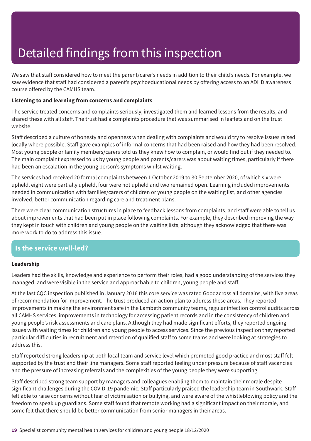We saw that staff considered how to meet the parent/carer's needs in addition to their child's needs. For example, we saw evidence that staff had considered a parent's psychoeducational needs by offering access to an ADHD awareness course offered by the CAMHS team.

#### **Listening to and learning from concerns and complaints**

The service treated concerns and complaints seriously, investigated them and learned lessons from the results, and shared these with all staff. The trust had a complaints procedure that was summarised in leaflets and on the trust website.

Staff described a culture of honesty and openness when dealing with complaints and would try to resolve issues raised locally where possible. Staff gave examples of informal concerns that had been raised and how they had been resolved. Most young people or family members/carers told us they knew how to complain, or would find out if they needed to. The main complaint expressed to us by young people and parents/carers was about waiting times, particularly if there had been an escalation in the young person's symptoms whilst waiting.

The services had received 20 formal complaints between 1 October 2019 to 30 September 2020, of which six were upheld, eight were partially upheld, four were not upheld and two remained open. Learning included improvements needed in communication with families/carers of children or young people on the waiting list, and other agencies involved, better communication regarding care and treatment plans.

There were clear communication structures in place to feedback lessons from complaints, and staff were able to tell us about improvements that had been put in place following complaints. For example, they described improving the way they kept in touch with children and young people on the waiting lists, although they acknowledged that there was more work to do to address this issue.

### **Is the service well-led?**

#### **Leadership**

Leaders had the skills, knowledge and experience to perform their roles, had a good understanding of the services they managed, and were visible in the service and approachable to children, young people and staff.

At the last CQC inspection published in January 2016 this core service was rated Goodacross all domains, with five areas of recommendation for improvement. The trust produced an action plan to address these areas. They reported improvements in making the environment safe in the Lambeth community teams, regular infection control audits across all CAMHS services, improvements in technology for accessing patient records and in the consistency of children and young people's risk assessments and care plans. Although they had made significant efforts, they reported ongoing issues with waiting times for children and young people to access services. Since the previous inspection they reported particular difficulties in recruitment and retention of qualified staff to some teams and were looking at strategies to address this.

Staff reported strong leadership at both local team and service level which promoted good practice and most staff felt supported by the trust and their line managers. Some staff reported feeling under pressure because of staff vacancies and the pressure of increasing referrals and the complexities of the young people they were supporting.

Staff described strong team support by managers and colleagues enabling them to maintain their morale despite significant challenges during the COVID-19 pandemic. Staff particularly praised the leadership team in Southwark. Staff felt able to raise concerns without fear of victimisation or bullying, and were aware of the whistleblowing policy and the freedom to speak up guardians. Some staff found that remote working had a significant impact on their morale, and some felt that there should be better communication from senior managers in their areas.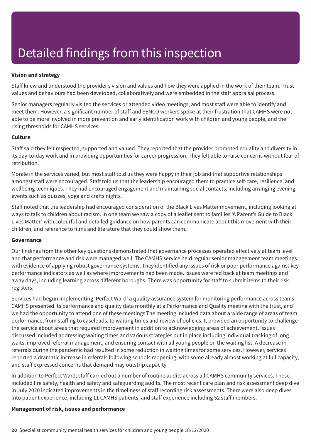#### **Vision and strategy**

Staff knew and understood the provider's vision and values and how they were applied in the work of their team. Trust values and behaviours had been developed, collaboratively and were embedded in the staff appraisal process.

Senior managers regularly visited the services or attended video meetings, and most staff were able to identify and meet them. However, a significant number of staff and SENCO workers spoke at their frustration that CAMHS were not able to be more involved in more prevention and early identification work with children and young people, and the rising thresholds for CAMHS services.

#### **Culture**

Staff said they felt respected, supported and valued. They reported that the provider promoted equality and diversity in its day-to-day work and in providing opportunities for career progression. They felt able to raise concerns without fear of retribution.

Morale in the services varied, but most staff told us they were happy in their job and that supportive relationships amongst staff were encouraged. Staff told us that the leadership encouraged them to practice self-care, resilience, and wellbeing techniques. They had encouraged engagement and maintaining social contacts, including arranging evening events such as quizzes, yoga and crafts nights.

Staff noted that the leadership had encouraged consideration of the Black Lives Matter movement, including looking at ways to talk to children about racism. In one team we saw a copy of a leaflet sent to families 'A Parent's Guide to Black Lives Matter,' with colourful and detailed guidance on how parents can communicate about this movement with their children, and reference to films and literature that they could show them.

#### **Governance**

Our findings from the other key questions demonstrated that governance processes operated effectively at team level and that performance and risk were managed well. The CAMHS service held regular senior management team meetings with evidence of applying robust governance systems. They identified any issues of risk or poor performance against key performance indicators as well as where improvements had been made. Issues were fed back at team meetings and away days, including learning across different boroughs. There was opportunity for staff to submit items to their risk registers.

Services had begun implementing 'Perfect Ward' a quality assurance system for monitoring performance across teams. CAMHS presented its performance and quality data monthly at a Performance and Quality meeting with the trust, and we had the opportunity to attend one of these meetings.The meeting included data about a wide range of areas of team performance, from staffing to caseloads, to waiting times and review of policies. It provided an opportunity to challenge the service about areas that required improvement in addition to acknowledging areas of achievement. Issues discussed included addressing waiting times and various strategies put in place including individual tracking of long waits, improved referral management, and ensuring contact with all young people on the waiting list. A decrease in referrals during the pandemic had resulted in some reduction in waiting times for some services. However, services reported a dramatic increase in referrals following schools reopening, with some already almost working at full capacity, and staff expressed concerns that demand may outstrip capacity.

In addition to Perfect Ward, staff carried out a number of routine audits across all CAMHS community services. These included fire safety, health and safety and safeguarding audits. The most recent care plan and risk assessment deep dive in July 2020 indicated improvements in the timeliness of staff recording risk assessments. There were also deep dives into patient experience, including 11 CAMHS patients, and staff experience including 52 staff members.

#### **Management of risk, issues and performance**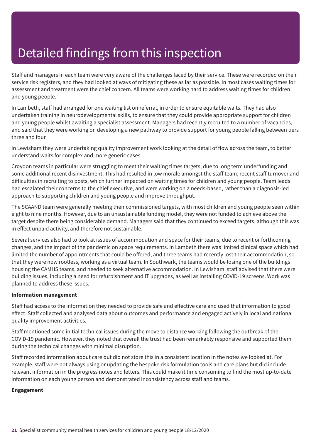Staff and managers in each team were very aware of the challenges faced by their service. These were recorded on their service risk registers, and they had looked at ways of mitigating these as far as possible. In most cases waiting times for assessment and treatment were the chief concern. All teams were working hard to address waiting times for children and young people.

In Lambeth, staff had arranged for one waiting list on referral, in order to ensure equitable waits. They had also undertaken training in neurodevelopmental skills, to ensure that they could provide appropriate support for children and young people whilst awaiting a specialist assessment. Managers had recently recruited to a number of vacancies, and said that they were working on developing a new pathway to provide support for young people falling between tiers three and four.

In Lewisham they were undertaking quality improvement work looking at the detail of flow across the team, to better understand waits for complex and more generic cases.

Croydon teams in particular were struggling to meet their waiting times targets, due to long term underfunding and some additional recent disinvestment. This had resulted in low morale amongst the staff team, recent staff turnover and difficulties in recruiting to posts, which further impacted on waiting times for children and young people. Team leads had escalated their concerns to the chief executive, and were working on a needs-based, rather than a diagnosis-led approach to supporting children and young people and improve throughput.

The SCAAND team were generally meeting their commissioned targets, with most children and young people seen within eight to nine months. However, due to an unsustainable funding model, they were not funded to achieve above the target despite there being considerable demand. Managers said that they continued to exceed targets, although this was in effect unpaid activity, and therefore not sustainable.

Several services also had to look at issues of accommodation and space for their teams, due to recent or forthcoming changes, and the impact of the pandemic on space requirements. In Lambeth there was limited clinical space which had limited the number of appointments that could be offered, and three teams had recently lost their accommodation, so that they were now rootless, working as a virtual team. In Southwark, the teams would be losing one of the buildings housing the CAMHS teams, and needed to seek alternative accommodation. In Lewisham, staff advised that there were building issues, including a need for refurbishment and IT upgrades, as well as installing COVID-19 screens. Work was planned to address these issues.

#### **Information management**

Staff had access to the information they needed to provide safe and effective care and used that information to good effect. Staff collected and analysed data about outcomes and performance and engaged actively in local and national quality improvement activities.

Staff mentioned some initial technical issues during the move to distance working following the outbreak of the COVID-19 pandemic. However, they noted that overall the trust had been remarkably responsive and supported them during the technical changes with minimal disruption.

Staff recorded information about care but did not store this in a consistent location in the notes we looked at. For example, staff were not always using or updating the bespoke risk formulation tools and care plans but did include relevant information in the progress notes and letters. This could make it time consuming to find the most up-to-date information on each young person and demonstrated inconsistency across staff and teams.

#### **Engagement**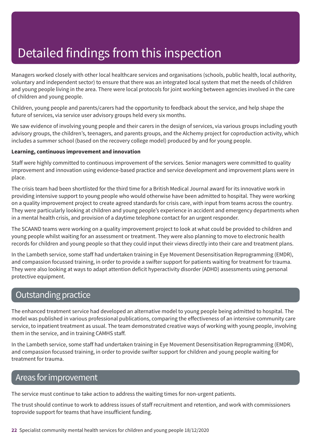Managers worked closely with other local healthcare services and organisations (schools, public health, local authority, voluntary and independent sector) to ensure that there was an integrated local system that met the needs of children and young people living in the area. There were local protocols for joint working between agencies involved in the care of children and young people.

Children, young people and parents/carers had the opportunity to feedback about the service, and help shape the future of services, via service user advisory groups held every six months.

We saw evidence of involving young people and their carers in the design of services, via various groups including youth advisory groups, the children's, teenagers, and parents groups, and the Alchemy project for coproduction activity, which includes a summer school (based on the recovery college model) produced by and for young people.

#### **Learning, continuous improvement and innovation**

Staff were highly committed to continuous improvement of the services. Senior managers were committed to quality improvement and innovation using evidence-based practice and service development and improvement plans were in place.

The crisis team had been shortlisted for the third time for a British Medical Journal award for its innovative work in providing intensive support to young people who would otherwise have been admitted to hospital. They were working on a quality improvement project to create agreed standards for crisis care, with input from teams across the country. They were particularly looking at children and young people's experience in accident and emergency departments when in a mental health crisis, and provision of a daytime telephone contact for an urgent responder.

The SCAAND teams were working on a quality improvement project to look at what could be provided to children and young people whilst waiting for an assessment or treatment. They were also planning to move to electronic health records for children and young people so that they could input their views directly into their care and treatment plans.

In the Lambeth service, some staff had undertaken training in Eye Movement Desensitisation Reprogramming (EMDR), and compassion focussed training, in order to provide a swifter support for patients waiting for treatment for trauma. They were also looking at ways to adapt attention deficit hyperactivity disorder (ADHD) assessments using personal protective equipment.

### Outstanding practice

The enhanced treatment service had developed an alternative model to young people being admitted to hospital. The model was published in various professional publications, comparing the effectiveness of an intensive community care service, to inpatient treatment as usual. The team demonstrated creative ways of working with young people, involving them in the service, and in training CAMHS staff.

In the Lambeth service, some staff had undertaken training in Eye Movement Desensitisation Reprogramming (EMDR), and compassion focussed training, in order to provide swifter support for children and young people waiting for treatment for trauma.

### Areas for improvement

The service must continue to take action to address the waiting times for non-urgent patients.

The trust should continue to work to address issues of staff recruitment and retention, and work with commissioners toprovide support for teams that have insufficient funding.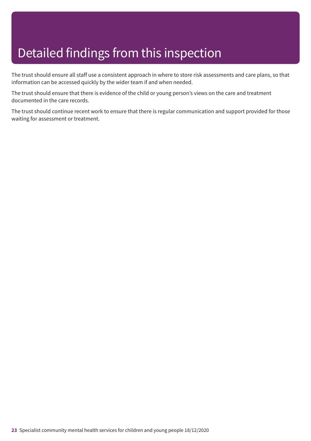The trust should ensure all staff use a consistent approach in where to store risk assessments and care plans, so that information can be accessed quickly by the wider team if and when needed.

The trust should ensure that there is evidence of the child or young person's views on the care and treatment documented in the care records.

The trust should continue recent work to ensure that there is regular communication and support provided for those waiting for assessment or treatment.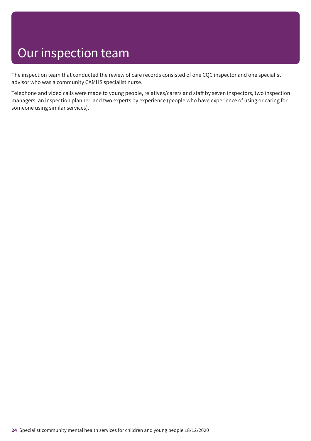# Our inspection team

The inspection team that conducted the review of care records consisted of one CQC inspector and one specialist advisor who was a community CAMHS specialist nurse.

Telephone and video calls were made to young people, relatives/carers and staff by seven inspectors, two inspection managers, an inspection planner, and two experts by experience (people who have experience of using or caring for someone using similar services).